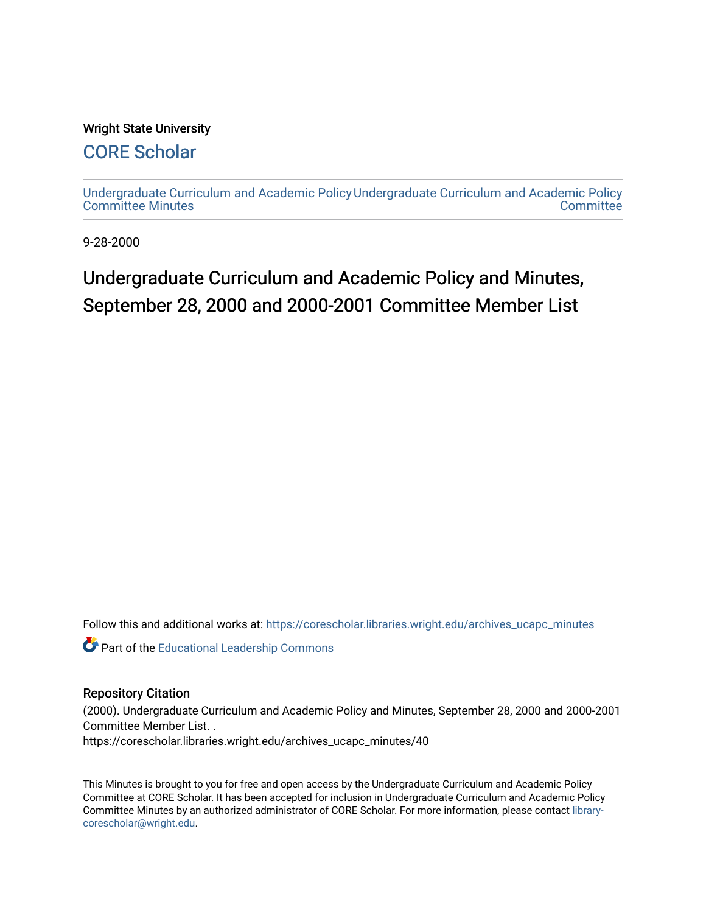#### Wright State University

### [CORE Scholar](https://corescholar.libraries.wright.edu/)

[Undergraduate Curriculum and Academic Policy](https://corescholar.libraries.wright.edu/archives_ucapc_minutes) [Undergraduate Curriculum and Academic Policy](https://corescholar.libraries.wright.edu/archives_ucapc)  [Committee Minutes](https://corescholar.libraries.wright.edu/archives_ucapc_minutes) **Committee** 

9-28-2000

## Undergraduate Curriculum and Academic Policy and Minutes, September 28, 2000 and 2000-2001 Committee Member List

Follow this and additional works at: [https://corescholar.libraries.wright.edu/archives\\_ucapc\\_minutes](https://corescholar.libraries.wright.edu/archives_ucapc_minutes?utm_source=corescholar.libraries.wright.edu%2Farchives_ucapc_minutes%2F40&utm_medium=PDF&utm_campaign=PDFCoverPages) 

Part of the [Educational Leadership Commons](http://network.bepress.com/hgg/discipline/1230?utm_source=corescholar.libraries.wright.edu%2Farchives_ucapc_minutes%2F40&utm_medium=PDF&utm_campaign=PDFCoverPages) 

#### Repository Citation

(2000). Undergraduate Curriculum and Academic Policy and Minutes, September 28, 2000 and 2000-2001 Committee Member List. .

https://corescholar.libraries.wright.edu/archives\_ucapc\_minutes/40

This Minutes is brought to you for free and open access by the Undergraduate Curriculum and Academic Policy Committee at CORE Scholar. It has been accepted for inclusion in Undergraduate Curriculum and Academic Policy Committee Minutes by an authorized administrator of CORE Scholar. For more information, please contact [library](mailto:library-corescholar@wright.edu)[corescholar@wright.edu](mailto:library-corescholar@wright.edu).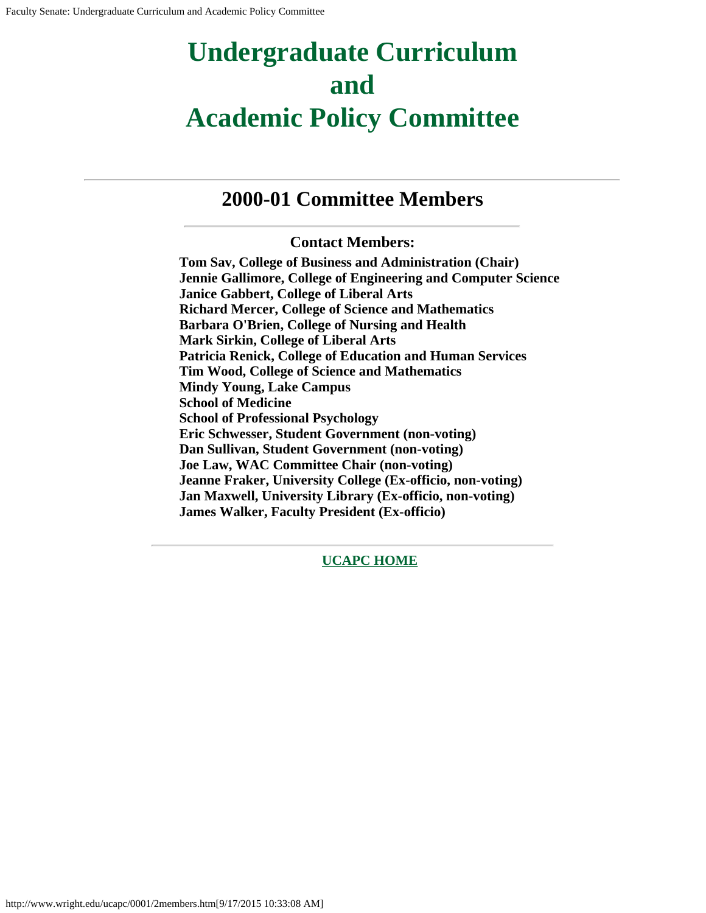## **Undergraduate Curriculum and Academic Policy Committee**

### **2000-01 Committee Members**

#### **Contact Members:**

**Tom Sav, College of Business and Administration (Chair) Jennie Gallimore, College of Engineering and Computer Science Janice Gabbert, College of Liberal Arts Richard Mercer, College of Science and Mathematics Barbara O'Brien, College of Nursing and Health Mark Sirkin, College of Liberal Arts Patricia Renick, College of Education and Human Services Tim Wood, College of Science and Mathematics Mindy Young, Lake Campus School of Medicine School of Professional Psychology Eric Schwesser, Student Government (non-voting) Dan Sullivan, Student Government (non-voting) Joe Law, WAC Committee Chair (non-voting) Jeanne Fraker, University College (Ex-officio, non-voting) Jan Maxwell, University Library (Ex-officio, non-voting) James Walker, Faculty President (Ex-officio)**

**[UCAPC HOME](http://www.wright.edu/ucapc/index.htm)**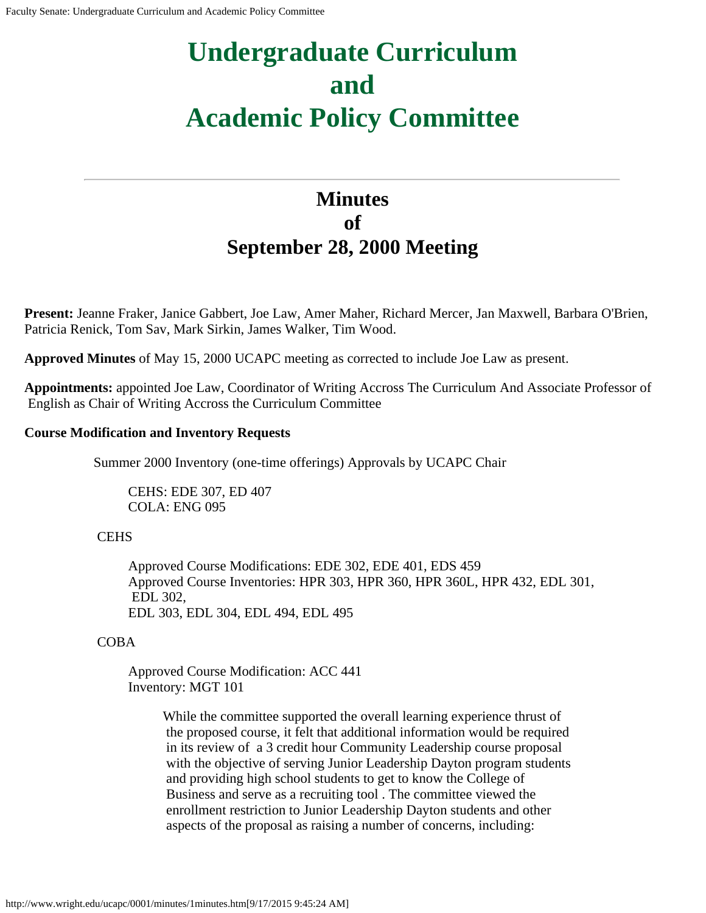# **Undergraduate Curriculum and Academic Policy Committee**

## **Minutes of September 28, 2000 Meeting**

**Present:** Jeanne Fraker, Janice Gabbert, Joe Law, Amer Maher, Richard Mercer, Jan Maxwell, Barbara O'Brien, Patricia Renick, Tom Sav, Mark Sirkin, James Walker, Tim Wood.

**Approved Minutes** of May 15, 2000 UCAPC meeting as corrected to include Joe Law as present.

**Appointments:** appointed Joe Law, Coordinator of Writing Accross The Curriculum And Associate Professor of English as Chair of Writing Accross the Curriculum Committee

#### **Course Modification and Inventory Requests**

Summer 2000 Inventory (one-time offerings) Approvals by UCAPC Chair

CEHS: EDE 307, ED 407 COLA: ENG 095

#### **CEHS**

Approved Course Modifications: EDE 302, EDE 401, EDS 459 Approved Course Inventories: HPR 303, HPR 360, HPR 360L, HPR 432, EDL 301, EDL 302, EDL 303, EDL 304, EDL 494, EDL 495

COBA

Approved Course Modification: ACC 441 Inventory: MGT 101

> While the committee supported the overall learning experience thrust of the proposed course, it felt that additional information would be required in its review of a 3 credit hour Community Leadership course proposal with the objective of serving Junior Leadership Dayton program students and providing high school students to get to know the College of Business and serve as a recruiting tool . The committee viewed the enrollment restriction to Junior Leadership Dayton students and other aspects of the proposal as raising a number of concerns, including: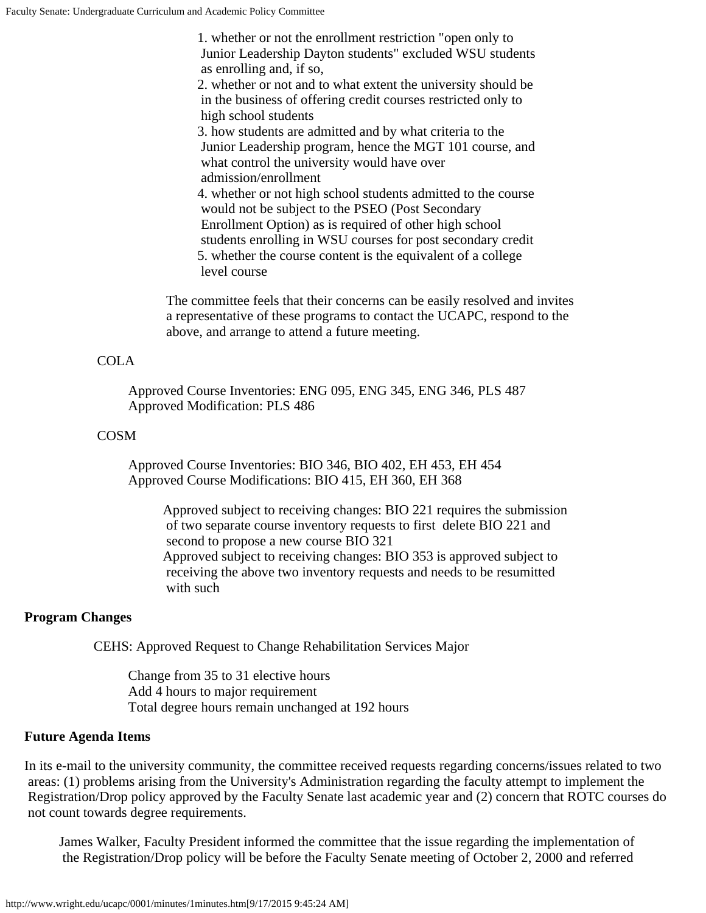1. whether or not the enrollment restriction "open only to Junior Leadership Dayton students" excluded WSU students as enrolling and, if so, 2. whether or not and to what extent the university should be in the business of offering credit courses restricted only to high school students 3. how students are admitted and by what criteria to the Junior Leadership program, hence the MGT 101 course, and what control the university would have over admission/enrollment 4. whether or not high school students admitted to the course would not be subject to the PSEO (Post Secondary Enrollment Option) as is required of other high school students enrolling in WSU courses for post secondary credit 5. whether the course content is the equivalent of a college level course

The committee feels that their concerns can be easily resolved and invites a representative of these programs to contact the UCAPC, respond to the above, and arrange to attend a future meeting.

#### COLA

Approved Course Inventories: ENG 095, ENG 345, ENG 346, PLS 487 Approved Modification: PLS 486

#### COSM

Approved Course Inventories: BIO 346, BIO 402, EH 453, EH 454 Approved Course Modifications: BIO 415, EH 360, EH 368

Approved subject to receiving changes: BIO 221 requires the submission of two separate course inventory requests to first delete BIO 221 and second to propose a new course BIO 321 Approved subject to receiving changes: BIO 353 is approved subject to receiving the above two inventory requests and needs to be resumitted with such

#### **Program Changes**

CEHS: Approved Request to Change Rehabilitation Services Major

Change from 35 to 31 elective hours Add 4 hours to major requirement Total degree hours remain unchanged at 192 hours

#### **Future Agenda Items**

In its e-mail to the university community, the committee received requests regarding concerns/issues related to two areas: (1) problems arising from the University's Administration regarding the faculty attempt to implement the Registration/Drop policy approved by the Faculty Senate last academic year and (2) concern that ROTC courses do not count towards degree requirements.

James Walker, Faculty President informed the committee that the issue regarding the implementation of the Registration/Drop policy will be before the Faculty Senate meeting of October 2, 2000 and referred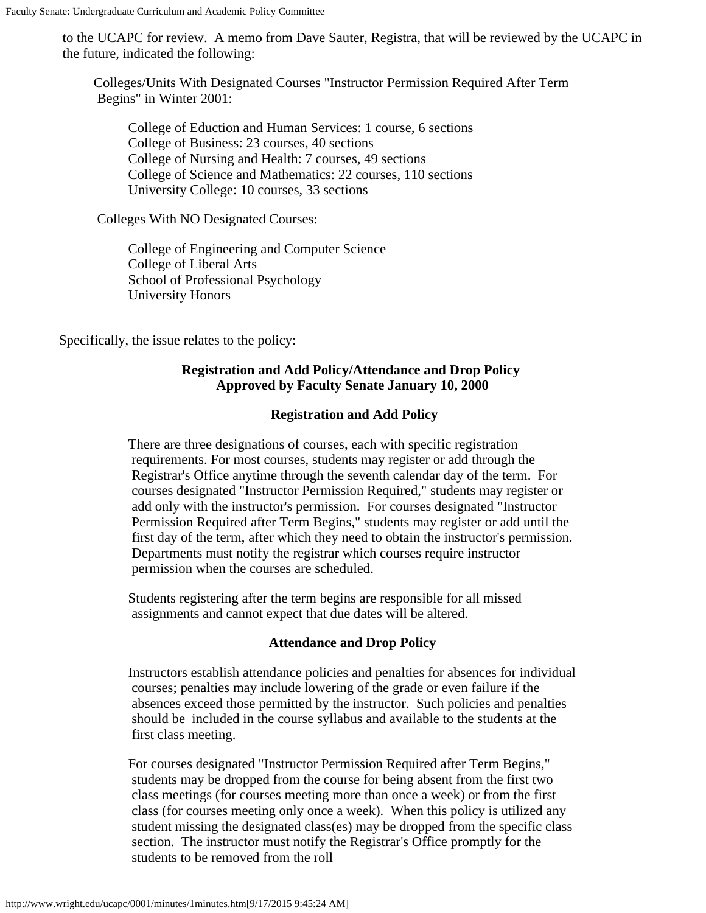to the UCAPC for review. A memo from Dave Sauter, Registra, that will be reviewed by the UCAPC in the future, indicated the following:

Colleges/Units With Designated Courses "Instructor Permission Required After Term Begins" in Winter 2001:

College of Eduction and Human Services: 1 course, 6 sections College of Business: 23 courses, 40 sections College of Nursing and Health: 7 courses, 49 sections College of Science and Mathematics: 22 courses, 110 sections University College: 10 courses, 33 sections

Colleges With NO Designated Courses:

College of Engineering and Computer Science College of Liberal Arts School of Professional Psychology University Honors

Specifically, the issue relates to the policy:

#### **Registration and Add Policy/Attendance and Drop Policy Approved by Faculty Senate January 10, 2000**

#### **Registration and Add Policy**

There are three designations of courses, each with specific registration requirements. For most courses, students may register or add through the Registrar's Office anytime through the seventh calendar day of the term. For courses designated "Instructor Permission Required," students may register or add only with the instructor's permission. For courses designated "Instructor Permission Required after Term Begins," students may register or add until the first day of the term, after which they need to obtain the instructor's permission. Departments must notify the registrar which courses require instructor permission when the courses are scheduled.

Students registering after the term begins are responsible for all missed assignments and cannot expect that due dates will be altered.

#### **Attendance and Drop Policy**

Instructors establish attendance policies and penalties for absences for individual courses; penalties may include lowering of the grade or even failure if the absences exceed those permitted by the instructor. Such policies and penalties should be included in the course syllabus and available to the students at the first class meeting.

For courses designated "Instructor Permission Required after Term Begins," students may be dropped from the course for being absent from the first two class meetings (for courses meeting more than once a week) or from the first class (for courses meeting only once a week). When this policy is utilized any student missing the designated class(es) may be dropped from the specific class section. The instructor must notify the Registrar's Office promptly for the students to be removed from the roll